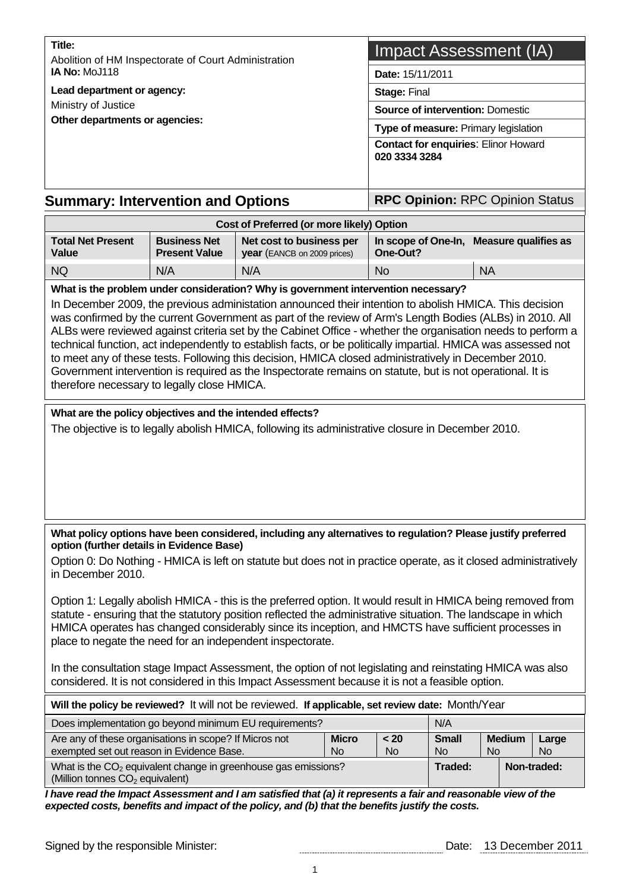| Title:                                                                                                                                                                                                                                                                                                                                                                                                                                                                                                                                                       |                                             | Impact Assessment (IA)                                                                            |                    |                                                              |                    |             |               |             |  |  |
|--------------------------------------------------------------------------------------------------------------------------------------------------------------------------------------------------------------------------------------------------------------------------------------------------------------------------------------------------------------------------------------------------------------------------------------------------------------------------------------------------------------------------------------------------------------|---------------------------------------------|---------------------------------------------------------------------------------------------------|--------------------|--------------------------------------------------------------|--------------------|-------------|---------------|-------------|--|--|
| Abolition of HM Inspectorate of Court Administration<br><b>IA No: MoJ118</b>                                                                                                                                                                                                                                                                                                                                                                                                                                                                                 |                                             |                                                                                                   |                    | Date: 15/11/2011                                             |                    |             |               |             |  |  |
| Lead department or agency:                                                                                                                                                                                                                                                                                                                                                                                                                                                                                                                                   |                                             | Stage: Final                                                                                      |                    |                                                              |                    |             |               |             |  |  |
| Ministry of Justice<br>Other departments or agencies:                                                                                                                                                                                                                                                                                                                                                                                                                                                                                                        |                                             |                                                                                                   |                    | <b>Source of intervention: Domestic</b>                      |                    |             |               |             |  |  |
|                                                                                                                                                                                                                                                                                                                                                                                                                                                                                                                                                              |                                             |                                                                                                   |                    | Type of measure: Primary legislation                         |                    |             |               |             |  |  |
|                                                                                                                                                                                                                                                                                                                                                                                                                                                                                                                                                              |                                             |                                                                                                   |                    | <b>Contact for enquiries: Elinor Howard</b><br>020 3334 3284 |                    |             |               |             |  |  |
| <b>Summary: Intervention and Options</b>                                                                                                                                                                                                                                                                                                                                                                                                                                                                                                                     |                                             |                                                                                                   |                    | <b>RPC Opinion: RPC Opinion Status</b>                       |                    |             |               |             |  |  |
|                                                                                                                                                                                                                                                                                                                                                                                                                                                                                                                                                              |                                             | Cost of Preferred (or more likely) Option                                                         |                    |                                                              |                    |             |               |             |  |  |
| <b>Total Net Present</b><br>Value                                                                                                                                                                                                                                                                                                                                                                                                                                                                                                                            | <b>Business Net</b><br><b>Present Value</b> | Net cost to business per<br>year (EANCB on 2009 prices)                                           |                    | In scope of One-In, Measure qualifies as<br>One-Out?         |                    |             |               |             |  |  |
| <b>NQ</b>                                                                                                                                                                                                                                                                                                                                                                                                                                                                                                                                                    | N/A                                         | N/A                                                                                               |                    | <b>No</b>                                                    |                    | <b>NA</b>   |               |             |  |  |
| ALBs were reviewed against criteria set by the Cabinet Office - whether the organisation needs to perform a<br>technical function, act independently to establish facts, or be politically impartial. HMICA was assessed not<br>to meet any of these tests. Following this decision, HMICA closed administratively in December 2010.<br>Government intervention is required as the Inspectorate remains on statute, but is not operational. It is<br>therefore necessary to legally close HMICA.<br>What are the policy objectives and the intended effects? |                                             |                                                                                                   |                    |                                                              |                    |             |               |             |  |  |
|                                                                                                                                                                                                                                                                                                                                                                                                                                                                                                                                                              |                                             | The objective is to legally abolish HMICA, following its administrative closure in December 2010. |                    |                                                              |                    |             |               |             |  |  |
| What policy options have been considered, including any alternatives to regulation? Please justify preferred<br>option (further details in Evidence Base)                                                                                                                                                                                                                                                                                                                                                                                                    |                                             |                                                                                                   |                    |                                                              |                    |             |               |             |  |  |
| Option 0: Do Nothing - HMICA is left on statute but does not in practice operate, as it closed administratively<br>in December 2010.                                                                                                                                                                                                                                                                                                                                                                                                                         |                                             |                                                                                                   |                    |                                                              |                    |             |               |             |  |  |
| Option 1: Legally abolish HMICA - this is the preferred option. It would result in HMICA being removed from<br>statute - ensuring that the statutory position reflected the administrative situation. The landscape in which<br>HMICA operates has changed considerably since its inception, and HMCTS have sufficient processes in<br>place to negate the need for an independent inspectorate.                                                                                                                                                             |                                             |                                                                                                   |                    |                                                              |                    |             |               |             |  |  |
| In the consultation stage Impact Assessment, the option of not legislating and reinstating HMICA was also<br>considered. It is not considered in this Impact Assessment because it is not a feasible option.                                                                                                                                                                                                                                                                                                                                                 |                                             |                                                                                                   |                    |                                                              |                    |             |               |             |  |  |
| Will the policy be reviewed? It will not be reviewed. If applicable, set review date: Month/Year                                                                                                                                                                                                                                                                                                                                                                                                                                                             |                                             |                                                                                                   |                    |                                                              |                    |             |               |             |  |  |
| Does implementation go beyond minimum EU requirements?                                                                                                                                                                                                                                                                                                                                                                                                                                                                                                       |                                             |                                                                                                   |                    |                                                              | N/A                |             |               |             |  |  |
| Are any of these organisations in scope? If Micros not<br>exempted set out reason in Evidence Base.                                                                                                                                                                                                                                                                                                                                                                                                                                                          |                                             |                                                                                                   | <b>Micro</b><br>No | < 20<br><b>No</b>                                            | <b>Small</b><br>No | No          | <b>Medium</b> | Large<br>No |  |  |
| (Million tonnes CO <sub>2</sub> equivalent)                                                                                                                                                                                                                                                                                                                                                                                                                                                                                                                  |                                             | What is the $CO2$ equivalent change in greenhouse gas emissions?                                  |                    |                                                              | Traded:            | Non-traded: |               |             |  |  |
| I have read the Impact Assessment and I am satisfied that (a) it represents a fair and reasonable view of the<br>expected costs, benefits and impact of the policy, and (b) that the benefits justify the costs.                                                                                                                                                                                                                                                                                                                                             |                                             |                                                                                                   |                    |                                                              |                    |             |               |             |  |  |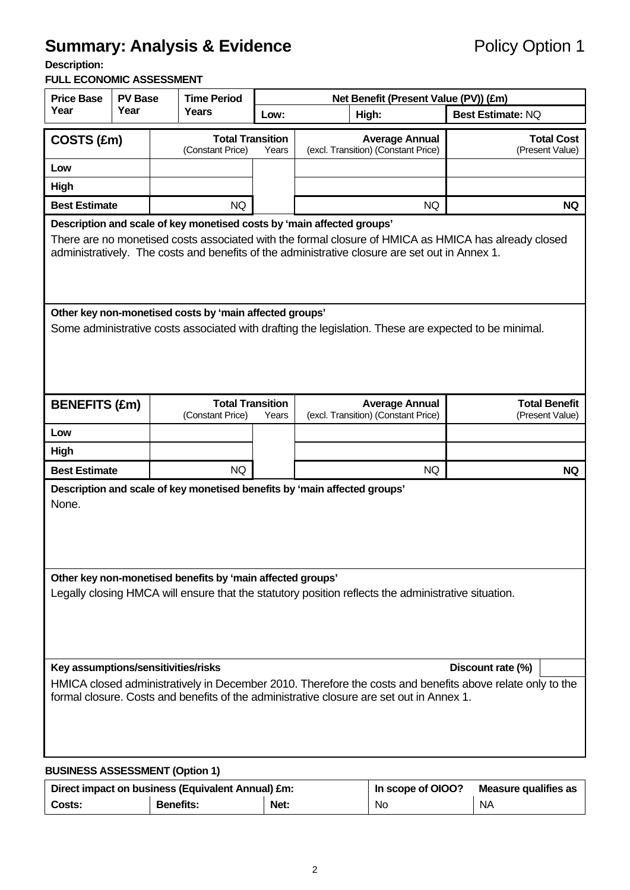# **Summary: Analysis & Evidence Policy Option 1**

**Description:** 

#### **FULL ECONOMIC ASSESSMENT**

| <b>Price Base</b>                                                                                                                                                                                                                                                                | <b>PV Base</b>                                                      |              | <b>Time Period</b>      | Net Benefit (Present Value (PV)) (£m)                        |                                         |                          |  |  |  |
|----------------------------------------------------------------------------------------------------------------------------------------------------------------------------------------------------------------------------------------------------------------------------------|---------------------------------------------------------------------|--------------|-------------------------|--------------------------------------------------------------|-----------------------------------------|--------------------------|--|--|--|
| Year                                                                                                                                                                                                                                                                             | Year                                                                | <b>Years</b> |                         | Low:                                                         | High:                                   | <b>Best Estimate: NQ</b> |  |  |  |
| COSTS (£m)                                                                                                                                                                                                                                                                       |                                                                     |              | <b>Total Transition</b> |                                                              | <b>Average Annual</b>                   | <b>Total Cost</b>        |  |  |  |
|                                                                                                                                                                                                                                                                                  |                                                                     |              | (Constant Price)        | Years                                                        | (excl. Transition) (Constant Price)     | (Present Value)          |  |  |  |
| Low                                                                                                                                                                                                                                                                              |                                                                     |              |                         |                                                              |                                         |                          |  |  |  |
| High                                                                                                                                                                                                                                                                             |                                                                     |              |                         |                                                              |                                         |                          |  |  |  |
| <b>Best Estimate</b>                                                                                                                                                                                                                                                             |                                                                     |              | <b>NQ</b>               |                                                              | <b>NQ</b>                               | <b>NQ</b>                |  |  |  |
| Description and scale of key monetised costs by 'main affected groups'<br>There are no monetised costs associated with the formal closure of HMICA as HMICA has already closed<br>administratively. The costs and benefits of the administrative closure are set out in Annex 1. |                                                                     |              |                         |                                                              |                                         |                          |  |  |  |
| Other key non-monetised costs by 'main affected groups'<br>Some administrative costs associated with drafting the legislation. These are expected to be minimal.                                                                                                                 |                                                                     |              |                         |                                                              |                                         |                          |  |  |  |
|                                                                                                                                                                                                                                                                                  | <b>Total Transition</b><br><b>BENEFITS (£m)</b><br>(Constant Price) |              | Years                   | <b>Average Annual</b><br>(excl. Transition) (Constant Price) | <b>Total Benefit</b><br>(Present Value) |                          |  |  |  |
| Low                                                                                                                                                                                                                                                                              |                                                                     |              |                         |                                                              |                                         |                          |  |  |  |
| High                                                                                                                                                                                                                                                                             |                                                                     |              |                         |                                                              |                                         |                          |  |  |  |
| <b>Best Estimate</b>                                                                                                                                                                                                                                                             |                                                                     |              | <b>NQ</b>               |                                                              | NQ                                      | <b>NQ</b>                |  |  |  |
| Description and scale of key monetised benefits by 'main affected groups'<br>None.                                                                                                                                                                                               |                                                                     |              |                         |                                                              |                                         |                          |  |  |  |
| Other key non-monetised benefits by 'main affected groups'<br>Legally closing HMCA will ensure that the statutory position reflects the administrative situation.                                                                                                                |                                                                     |              |                         |                                                              |                                         |                          |  |  |  |
| Key assumptions/sensitivities/risks<br>Discount rate (%)                                                                                                                                                                                                                         |                                                                     |              |                         |                                                              |                                         |                          |  |  |  |
| HMICA closed administratively in December 2010. Therefore the costs and benefits above relate only to the<br>formal closure. Costs and benefits of the administrative closure are set out in Annex 1.                                                                            |                                                                     |              |                         |                                                              |                                         |                          |  |  |  |
| <b>BUSINESS ASSESSMENT (Option 1)</b>                                                                                                                                                                                                                                            |                                                                     |              |                         |                                                              |                                         |                          |  |  |  |

|        | Direct impact on business (Equivalent Annual) £m: | In scope of OIOO? | Measure qualifies as |     |  |
|--------|---------------------------------------------------|-------------------|----------------------|-----|--|
| Costs: | <b>Benefits:</b>                                  | Net:              | No.                  | NA. |  |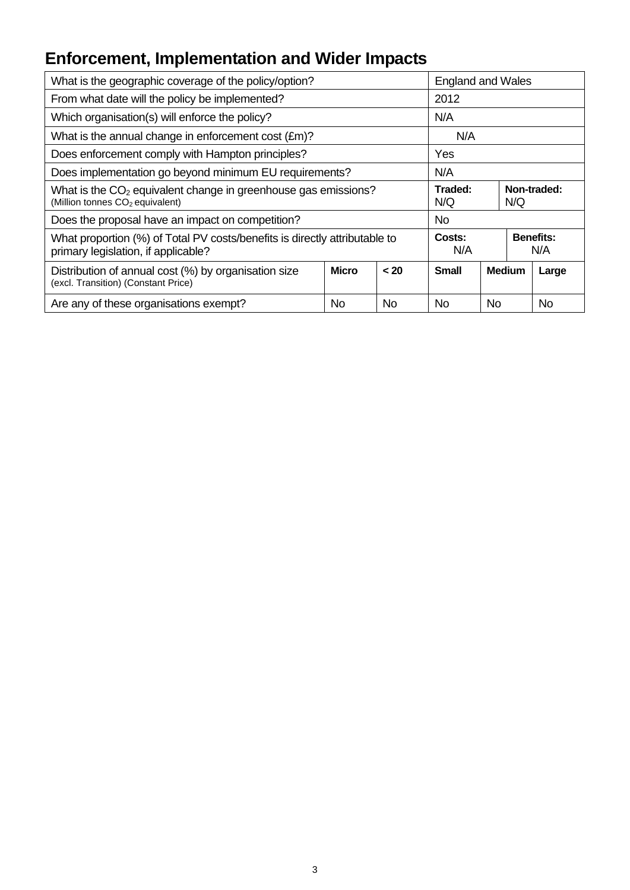# **Enforcement, Implementation and Wider Impacts**

| What is the geographic coverage of the policy/option?                                                             | <b>England and Wales</b>             |           |                                          |            |               |       |
|-------------------------------------------------------------------------------------------------------------------|--------------------------------------|-----------|------------------------------------------|------------|---------------|-------|
| From what date will the policy be implemented?                                                                    | 2012                                 |           |                                          |            |               |       |
| Which organisation(s) will enforce the policy?                                                                    | N/A                                  |           |                                          |            |               |       |
| What is the annual change in enforcement cost $(\text{Em})$ ?                                                     | N/A                                  |           |                                          |            |               |       |
| Does enforcement comply with Hampton principles?                                                                  | Yes                                  |           |                                          |            |               |       |
| Does implementation go beyond minimum EU requirements?                                                            | N/A                                  |           |                                          |            |               |       |
| What is the $CO2$ equivalent change in greenhouse gas emissions?<br>(Million tonnes CO <sub>2</sub> equivalent)   | Traded:<br>Non-traded:<br>N/Q<br>N/Q |           |                                          |            |               |       |
| Does the proposal have an impact on competition?                                                                  |                                      | <b>No</b> |                                          |            |               |       |
| What proportion (%) of Total PV costs/benefits is directly attributable to<br>primary legislation, if applicable? |                                      |           | <b>Benefits:</b><br>Costs:<br>N/A<br>N/A |            |               |       |
| Distribution of annual cost (%) by organisation size<br>(excl. Transition) (Constant Price)                       | <b>Micro</b>                         | < 20      | <b>Small</b>                             |            | <b>Medium</b> | Large |
| Are any of these organisations exempt?                                                                            | No                                   | No.       | No                                       | No.<br>No. |               |       |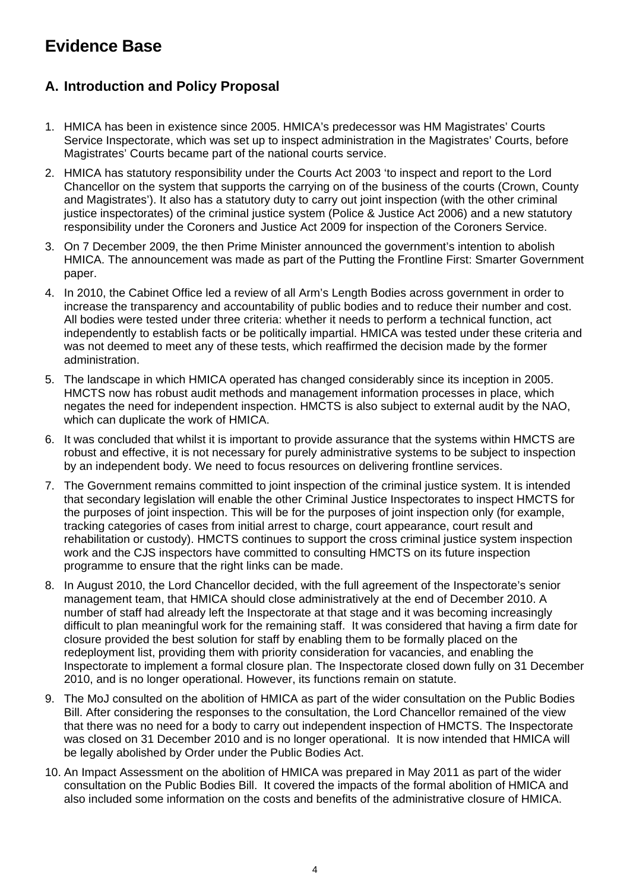## **Evidence Base**

## **A. Introduction and Policy Proposal**

- 1. HMICA has been in existence since 2005. HMICA's predecessor was HM Magistrates' Courts Service Inspectorate, which was set up to inspect administration in the Magistrates' Courts, before Magistrates' Courts became part of the national courts service.
- 2. HMICA has statutory responsibility under the Courts Act 2003 'to inspect and report to the Lord Chancellor on the system that supports the carrying on of the business of the courts (Crown, County and Magistrates'). It also has a statutory duty to carry out joint inspection (with the other criminal justice inspectorates) of the criminal justice system (Police & Justice Act 2006) and a new statutory responsibility under the Coroners and Justice Act 2009 for inspection of the Coroners Service.
- 3. On 7 December 2009, the then Prime Minister announced the government's intention to abolish HMICA. The announcement was made as part of the Putting the Frontline First: Smarter Government paper.
- 4. In 2010, the Cabinet Office led a review of all Arm's Length Bodies across government in order to increase the transparency and accountability of public bodies and to reduce their number and cost. All bodies were tested under three criteria: whether it needs to perform a technical function, act independently to establish facts or be politically impartial. HMICA was tested under these criteria and was not deemed to meet any of these tests, which reaffirmed the decision made by the former administration.
- 5. The landscape in which HMICA operated has changed considerably since its inception in 2005. HMCTS now has robust audit methods and management information processes in place, which negates the need for independent inspection. HMCTS is also subject to external audit by the NAO, which can duplicate the work of HMICA.
- 6. It was concluded that whilst it is important to provide assurance that the systems within HMCTS are robust and effective, it is not necessary for purely administrative systems to be subject to inspection by an independent body. We need to focus resources on delivering frontline services.
- 7. The Government remains committed to joint inspection of the criminal justice system. It is intended that secondary legislation will enable the other Criminal Justice Inspectorates to inspect HMCTS for the purposes of joint inspection. This will be for the purposes of joint inspection only (for example, tracking categories of cases from initial arrest to charge, court appearance, court result and rehabilitation or custody). HMCTS continues to support the cross criminal justice system inspection work and the CJS inspectors have committed to consulting HMCTS on its future inspection programme to ensure that the right links can be made.
- 8. In August 2010, the Lord Chancellor decided, with the full agreement of the Inspectorate's senior management team, that HMICA should close administratively at the end of December 2010. A number of staff had already left the Inspectorate at that stage and it was becoming increasingly difficult to plan meaningful work for the remaining staff. It was considered that having a firm date for closure provided the best solution for staff by enabling them to be formally placed on the redeployment list, providing them with priority consideration for vacancies, and enabling the Inspectorate to implement a formal closure plan. The Inspectorate closed down fully on 31 December 2010, and is no longer operational. However, its functions remain on statute.
- 9. The MoJ consulted on the abolition of HMICA as part of the wider consultation on the Public Bodies Bill. After considering the responses to the consultation, the Lord Chancellor remained of the view that there was no need for a body to carry out independent inspection of HMCTS. The Inspectorate was closed on 31 December 2010 and is no longer operational. It is now intended that HMICA will be legally abolished by Order under the Public Bodies Act.
- 10. An Impact Assessment on the abolition of HMICA was prepared in May 2011 as part of the wider consultation on the Public Bodies Bill. It covered the impacts of the formal abolition of HMICA and also included some information on the costs and benefits of the administrative closure of HMICA.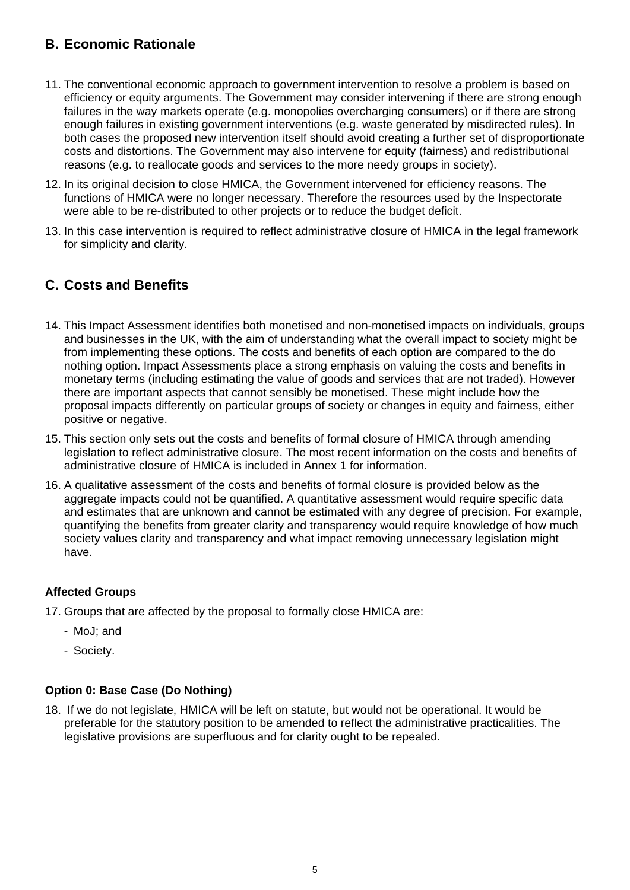## **B. Economic Rationale**

- 11. The conventional economic approach to government intervention to resolve a problem is based on efficiency or equity arguments. The Government may consider intervening if there are strong enough failures in the way markets operate (e.g. monopolies overcharging consumers) or if there are strong enough failures in existing government interventions (e.g. waste generated by misdirected rules). In both cases the proposed new intervention itself should avoid creating a further set of disproportionate costs and distortions. The Government may also intervene for equity (fairness) and redistributional reasons (e.g. to reallocate goods and services to the more needy groups in society).
- 12. In its original decision to close HMICA, the Government intervened for efficiency reasons. The functions of HMICA were no longer necessary. Therefore the resources used by the Inspectorate were able to be re-distributed to other projects or to reduce the budget deficit.
- 13. In this case intervention is required to reflect administrative closure of HMICA in the legal framework for simplicity and clarity.

## **C. Costs and Benefits**

- 14. This Impact Assessment identifies both monetised and non-monetised impacts on individuals, groups and businesses in the UK, with the aim of understanding what the overall impact to society might be from implementing these options. The costs and benefits of each option are compared to the do nothing option. Impact Assessments place a strong emphasis on valuing the costs and benefits in monetary terms (including estimating the value of goods and services that are not traded). However there are important aspects that cannot sensibly be monetised. These might include how the proposal impacts differently on particular groups of society or changes in equity and fairness, either positive or negative.
- 15. This section only sets out the costs and benefits of formal closure of HMICA through amending legislation to reflect administrative closure. The most recent information on the costs and benefits of administrative closure of HMICA is included in Annex 1 for information.
- 16. A qualitative assessment of the costs and benefits of formal closure is provided below as the aggregate impacts could not be quantified. A quantitative assessment would require specific data and estimates that are unknown and cannot be estimated with any degree of precision. For example, quantifying the benefits from greater clarity and transparency would require knowledge of how much society values clarity and transparency and what impact removing unnecessary legislation might have.

#### **Affected Groups**

- 17. Groups that are affected by the proposal to formally close HMICA are:
	- MoJ; and
	- Society.

#### **Option 0: Base Case (Do Nothing)**

18. If we do not legislate, HMICA will be left on statute, but would not be operational. It would be preferable for the statutory position to be amended to reflect the administrative practicalities. The legislative provisions are superfluous and for clarity ought to be repealed.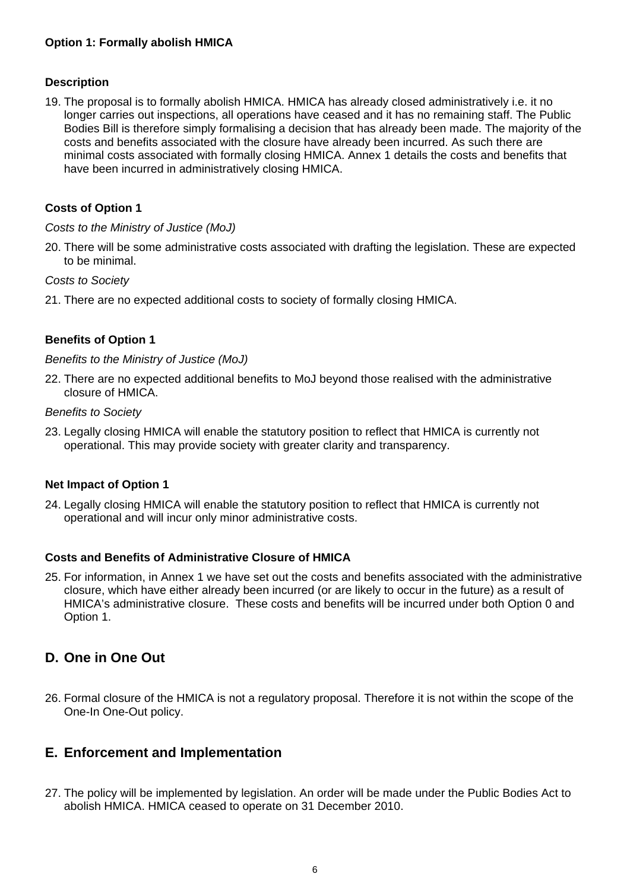#### **Description**

19. The proposal is to formally abolish HMICA. HMICA has already closed administratively i.e. it no longer carries out inspections, all operations have ceased and it has no remaining staff. The Public Bodies Bill is therefore simply formalising a decision that has already been made. The majority of the costs and benefits associated with the closure have already been incurred. As such there are minimal costs associated with formally closing HMICA. Annex 1 details the costs and benefits that have been incurred in administratively closing HMICA.

#### **Costs of Option 1**

#### *Costs to the Ministry of Justice (MoJ)*

20. There will be some administrative costs associated with drafting the legislation. These are expected to be minimal.

#### *Costs to Society*

21. There are no expected additional costs to society of formally closing HMICA.

#### **Benefits of Option 1**

#### *Benefits to the Ministry of Justice (MoJ)*

22. There are no expected additional benefits to MoJ beyond those realised with the administrative closure of HMICA.

#### *Benefits to Society*

23. Legally closing HMICA will enable the statutory position to reflect that HMICA is currently not operational. This may provide society with greater clarity and transparency.

#### **Net Impact of Option 1**

24. Legally closing HMICA will enable the statutory position to reflect that HMICA is currently not operational and will incur only minor administrative costs.

#### **Costs and Benefits of Administrative Closure of HMICA**

25. For information, in Annex 1 we have set out the costs and benefits associated with the administrative closure, which have either already been incurred (or are likely to occur in the future) as a result of HMICA's administrative closure. These costs and benefits will be incurred under both Option 0 and Option 1.

### **D. One in One Out**

26. Formal closure of the HMICA is not a regulatory proposal. Therefore it is not within the scope of the One-In One-Out policy.

#### **E. Enforcement and Implementation**

27. The policy will be implemented by legislation. An order will be made under the Public Bodies Act to abolish HMICA. HMICA ceased to operate on 31 December 2010.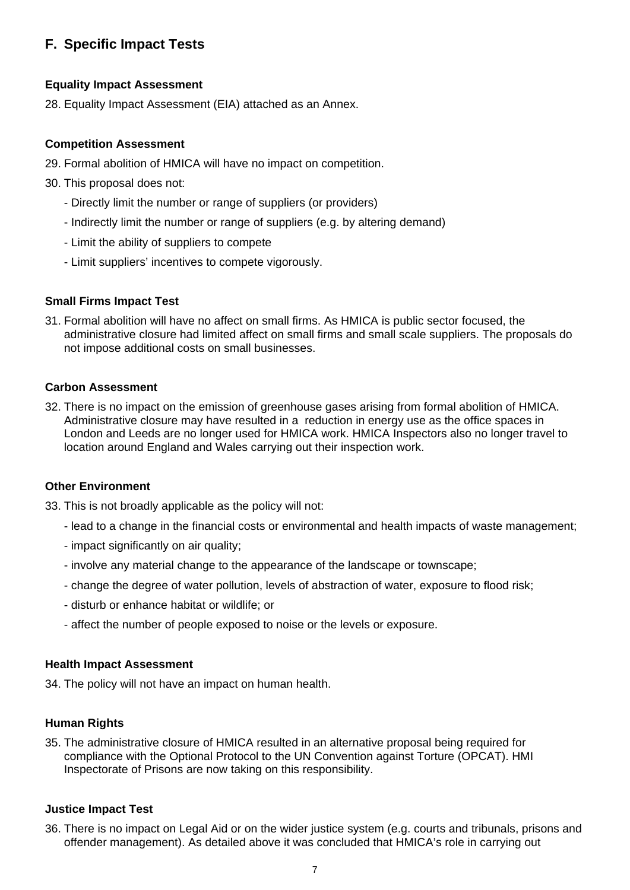## **F. Specific Impact Tests**

#### **Equality Impact Assessment**

28. Equality Impact Assessment (EIA) attached as an Annex.

#### **Competition Assessment**

- 29. Formal abolition of HMICA will have no impact on competition.
- 30. This proposal does not:
	- Directly limit the number or range of suppliers (or providers)
	- Indirectly limit the number or range of suppliers (e.g. by altering demand)
	- Limit the ability of suppliers to compete
	- Limit suppliers' incentives to compete vigorously.

#### **Small Firms Impact Test**

31. Formal abolition will have no affect on small firms. As HMICA is public sector focused, the administrative closure had limited affect on small firms and small scale suppliers. The proposals do not impose additional costs on small businesses.

#### **Carbon Assessment**

32. There is no impact on the emission of greenhouse gases arising from formal abolition of HMICA. Administrative closure may have resulted in a reduction in energy use as the office spaces in London and Leeds are no longer used for HMICA work. HMICA Inspectors also no longer travel to location around England and Wales carrying out their inspection work.

#### **Other Environment**

33. This is not broadly applicable as the policy will not:

- lead to a change in the financial costs or environmental and health impacts of waste management;
- impact significantly on air quality;
- involve any material change to the appearance of the landscape or townscape;
- change the degree of water pollution, levels of abstraction of water, exposure to flood risk;
- disturb or enhance habitat or wildlife; or
- affect the number of people exposed to noise or the levels or exposure.

#### **Health Impact Assessment**

34. The policy will not have an impact on human health.

#### **Human Rights**

35. The administrative closure of HMICA resulted in an alternative proposal being required for compliance with the Optional Protocol to the UN Convention against Torture (OPCAT). HMI Inspectorate of Prisons are now taking on this responsibility.

#### **Justice Impact Test**

36. There is no impact on Legal Aid or on the wider justice system (e.g. courts and tribunals, prisons and offender management). As detailed above it was concluded that HMICA's role in carrying out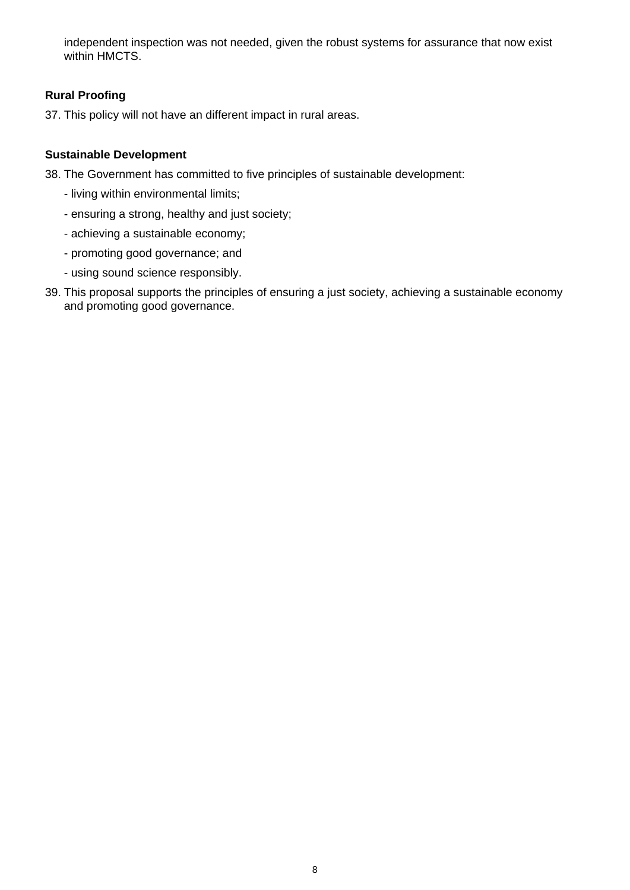independent inspection was not needed, given the robust systems for assurance that now exist within HMCTS.

#### **Rural Proofing**

37. This policy will not have an different impact in rural areas.

#### **Sustainable Development**

- 38. The Government has committed to five principles of sustainable development:
	- living within environmental limits;
	- ensuring a strong, healthy and just society;
	- achieving a sustainable economy;
	- promoting good governance; and
	- using sound science responsibly.
- 39. This proposal supports the principles of ensuring a just society, achieving a sustainable economy and promoting good governance.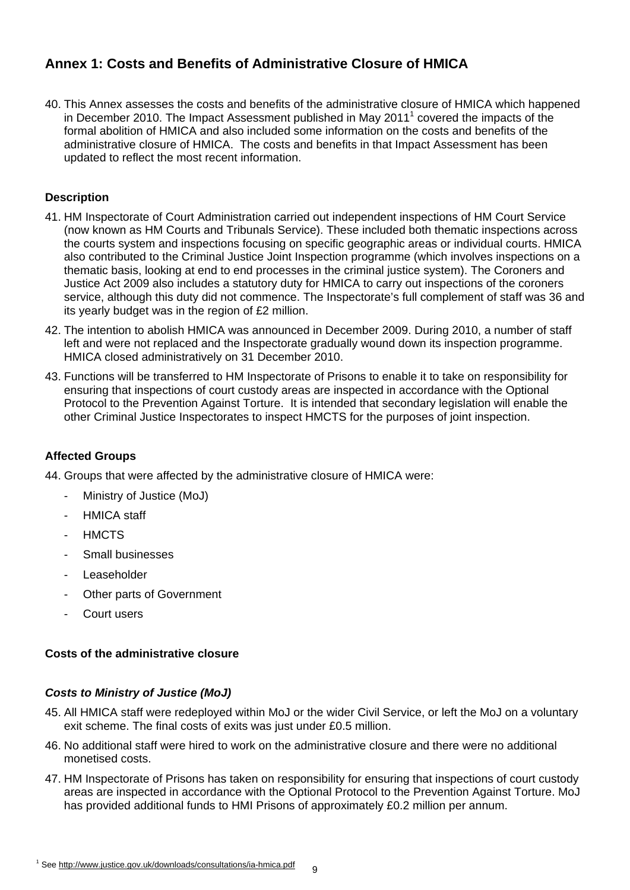## **Annex 1: Costs and Benefits of Administrative Closure of HMICA**

40. This Annex assesses the costs and benefits of the administrative closure of HMICA which happened in December 2010. The Impact Assessment published in May 2011<sup>1</sup> covered the impacts of the formal abolition of HMICA and also included some information on the costs and benefits of the administrative closure of HMICA. The costs and benefits in that Impact Assessment has been updated to reflect the most recent information.

#### **Description**

- 41. HM Inspectorate of Court Administration carried out independent inspections of HM Court Service (now known as HM Courts and Tribunals Service). These included both thematic inspections across the courts system and inspections focusing on specific geographic areas or individual courts. HMICA also contributed to the Criminal Justice Joint Inspection programme (which involves inspections on a thematic basis, looking at end to end processes in the criminal justice system). The Coroners and Justice Act 2009 also includes a statutory duty for HMICA to carry out inspections of the coroners service, although this duty did not commence. The Inspectorate's full complement of staff was 36 and its yearly budget was in the region of £2 million.
- 42. The intention to abolish HMICA was announced in December 2009. During 2010, a number of staff left and were not replaced and the Inspectorate gradually wound down its inspection programme. HMICA closed administratively on 31 December 2010.
- 43. Functions will be transferred to HM Inspectorate of Prisons to enable it to take on responsibility for ensuring that inspections of court custody areas are inspected in accordance with the Optional Protocol to the Prevention Against Torture. It is intended that secondary legislation will enable the other Criminal Justice Inspectorates to inspect HMCTS for the purposes of joint inspection.

#### **Affected Groups**

- 44. Groups that were affected by the administrative closure of HMICA were:
	- Ministry of Justice (MoJ)
	- HMICA staff
	- HMCTS
	- Small businesses
	- Leaseholder
	- Other parts of Government
	- Court users

#### **Costs of the administrative closure**

#### *Costs to Ministry of Justice (MoJ)*

- 45. All HMICA staff were redeployed within MoJ or the wider Civil Service, or left the MoJ on a voluntary exit scheme. The final costs of exits was just under £0.5 million.
- 46. No additional staff were hired to work on the administrative closure and there were no additional monetised costs.
- 47. HM Inspectorate of Prisons has taken on responsibility for ensuring that inspections of court custody areas are inspected in accordance with the Optional Protocol to the Prevention Against Torture. MoJ has provided additional funds to HMI Prisons of approximately £0.2 million per annum.

<sup>&</sup>lt;sup>1</sup> See <u>http://www.justice.gov.uk/downloads/consultations/ia-hmica.pdf <sub>g</sub></u>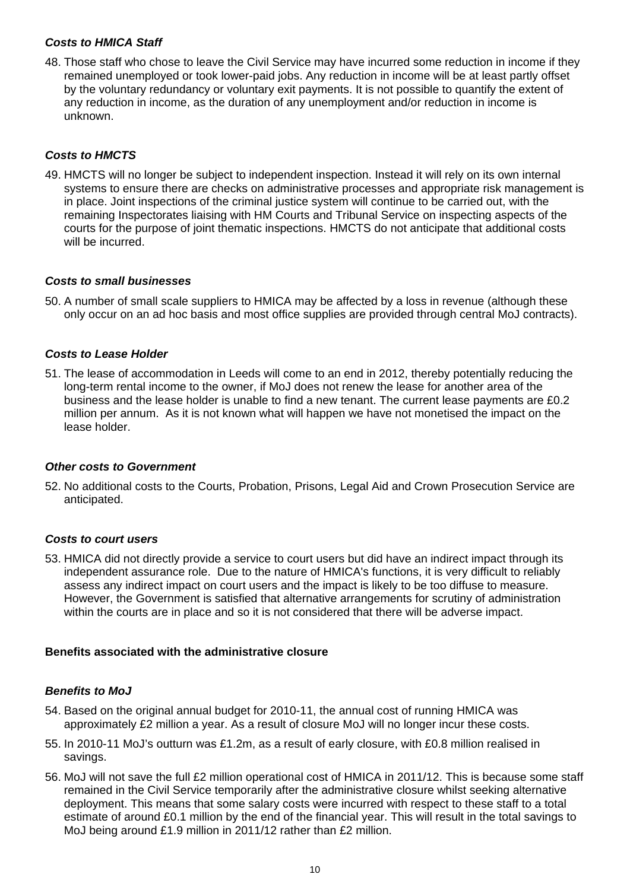#### *Costs to HMICA Staff*

48. Those staff who chose to leave the Civil Service may have incurred some reduction in income if they remained unemployed or took lower-paid jobs. Any reduction in income will be at least partly offset by the voluntary redundancy or voluntary exit payments. It is not possible to quantify the extent of any reduction in income, as the duration of any unemployment and/or reduction in income is unknown.

#### *Costs to HMCTS*

49. HMCTS will no longer be subject to independent inspection. Instead it will rely on its own internal systems to ensure there are checks on administrative processes and appropriate risk management is in place. Joint inspections of the criminal justice system will continue to be carried out, with the remaining Inspectorates liaising with HM Courts and Tribunal Service on inspecting aspects of the courts for the purpose of joint thematic inspections. HMCTS do not anticipate that additional costs will be incurred.

#### *Costs to small businesses*

50. A number of small scale suppliers to HMICA may be affected by a loss in revenue (although these only occur on an ad hoc basis and most office supplies are provided through central MoJ contracts).

#### *Costs to Lease Holder*

51. The lease of accommodation in Leeds will come to an end in 2012, thereby potentially reducing the long-term rental income to the owner, if MoJ does not renew the lease for another area of the business and the lease holder is unable to find a new tenant. The current lease payments are £0.2 million per annum. As it is not known what will happen we have not monetised the impact on the lease holder.

#### *Other costs to Government*

52. No additional costs to the Courts, Probation, Prisons, Legal Aid and Crown Prosecution Service are anticipated.

#### *Costs to court users*

53. HMICA did not directly provide a service to court users but did have an indirect impact through its independent assurance role. Due to the nature of HMICA's functions, it is very difficult to reliably assess any indirect impact on court users and the impact is likely to be too diffuse to measure. However, the Government is satisfied that alternative arrangements for scrutiny of administration within the courts are in place and so it is not considered that there will be adverse impact.

#### **Benefits associated with the administrative closure**

#### *Benefits to MoJ*

- 54. Based on the original annual budget for 2010-11, the annual cost of running HMICA was approximately £2 million a year. As a result of closure MoJ will no longer incur these costs.
- 55. In 2010-11 MoJ's outturn was £1.2m, as a result of early closure, with £0.8 million realised in savings.
- 56. MoJ will not save the full £2 million operational cost of HMICA in 2011/12. This is because some staff remained in the Civil Service temporarily after the administrative closure whilst seeking alternative deployment. This means that some salary costs were incurred with respect to these staff to a total estimate of around £0.1 million by the end of the financial year. This will result in the total savings to MoJ being around £1.9 million in 2011/12 rather than £2 million.